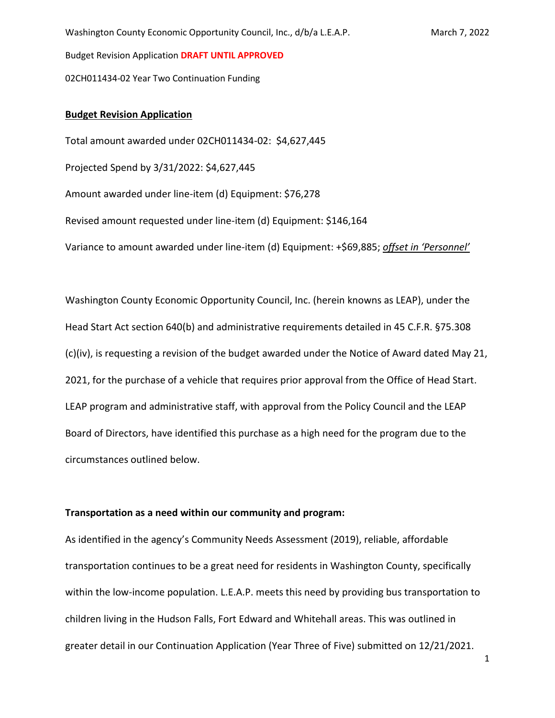02CH011434-02 Year Two Continuation Funding

## **Budget Revision Application**

Total amount awarded under 02CH011434-02: \$4,627,445 Projected Spend by 3/31/2022: \$4,627,445 Amount awarded under line-item (d) Equipment: \$76,278 Revised amount requested under line-item (d) Equipment: \$146,164 Variance to amount awarded under line-item (d) Equipment: +\$69,885; *offset in 'Personnel'*

Washington County Economic Opportunity Council, Inc. (herein knowns as LEAP), under the Head Start Act section 640(b) and administrative requirements detailed in 45 C.F.R. §75.308 (c)(iv), is requesting a revision of the budget awarded under the Notice of Award dated May 21, 2021, for the purchase of a vehicle that requires prior approval from the Office of Head Start. LEAP program and administrative staff, with approval from the Policy Council and the LEAP Board of Directors, have identified this purchase as a high need for the program due to the circumstances outlined below.

## **Transportation as a need within our community and program:**

As identified in the agency's Community Needs Assessment (2019), reliable, affordable transportation continues to be a great need for residents in Washington County, specifically within the low-income population. L.E.A.P. meets this need by providing bus transportation to children living in the Hudson Falls, Fort Edward and Whitehall areas. This was outlined in greater detail in our Continuation Application (Year Three of Five) submitted on 12/21/2021.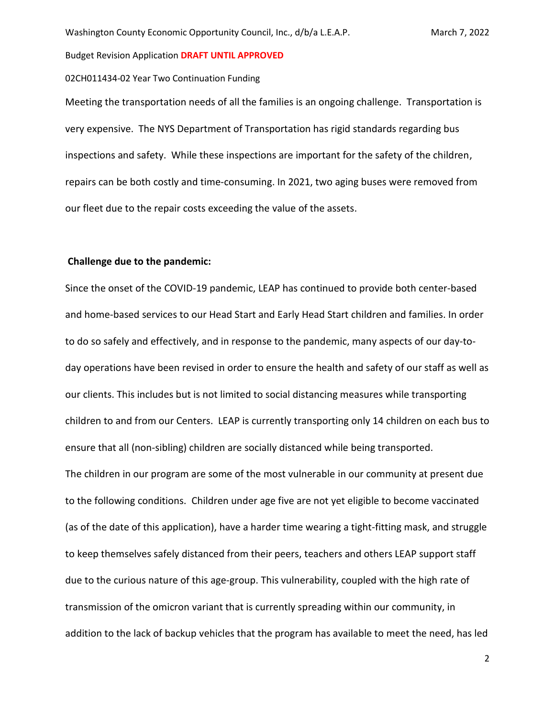#### 02CH011434-02 Year Two Continuation Funding

Meeting the transportation needs of all the families is an ongoing challenge. Transportation is very expensive. The NYS Department of Transportation has rigid standards regarding bus inspections and safety. While these inspections are important for the safety of the children, repairs can be both costly and time-consuming. In 2021, two aging buses were removed from our fleet due to the repair costs exceeding the value of the assets.

### **Challenge due to the pandemic:**

Since the onset of the COVID-19 pandemic, LEAP has continued to provide both center-based and home-based services to our Head Start and Early Head Start children and families. In order to do so safely and effectively, and in response to the pandemic, many aspects of our day-today operations have been revised in order to ensure the health and safety of our staff as well as our clients. This includes but is not limited to social distancing measures while transporting children to and from our Centers. LEAP is currently transporting only 14 children on each bus to ensure that all (non-sibling) children are socially distanced while being transported. The children in our program are some of the most vulnerable in our community at present due to the following conditions. Children under age five are not yet eligible to become vaccinated (as of the date of this application), have a harder time wearing a tight-fitting mask, and struggle to keep themselves safely distanced from their peers, teachers and others LEAP support staff due to the curious nature of this age-group. This vulnerability, coupled with the high rate of transmission of the omicron variant that is currently spreading within our community, in addition to the lack of backup vehicles that the program has available to meet the need, has led

2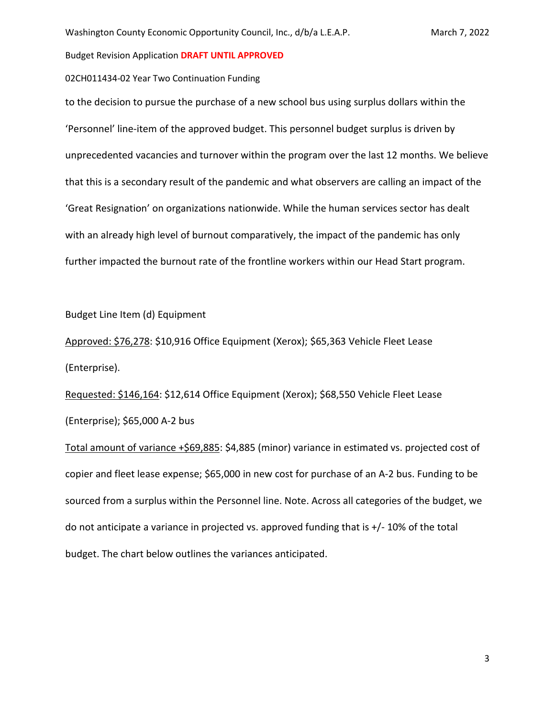#### 02CH011434-02 Year Two Continuation Funding

to the decision to pursue the purchase of a new school bus using surplus dollars within the 'Personnel' line-item of the approved budget. This personnel budget surplus is driven by unprecedented vacancies and turnover within the program over the last 12 months. We believe that this is a secondary result of the pandemic and what observers are calling an impact of the 'Great Resignation' on organizations nationwide. While the human services sector has dealt with an already high level of burnout comparatively, the impact of the pandemic has only further impacted the burnout rate of the frontline workers within our Head Start program.

Budget Line Item (d) Equipment

Approved: \$76,278: \$10,916 Office Equipment (Xerox); \$65,363 Vehicle Fleet Lease (Enterprise).

Requested: \$146,164: \$12,614 Office Equipment (Xerox); \$68,550 Vehicle Fleet Lease (Enterprise); \$65,000 A-2 bus

Total amount of variance +\$69,885: \$4,885 (minor) variance in estimated vs. projected cost of copier and fleet lease expense; \$65,000 in new cost for purchase of an A-2 bus. Funding to be sourced from a surplus within the Personnel line. Note. Across all categories of the budget, we do not anticipate a variance in projected vs. approved funding that is +/- 10% of the total budget. The chart below outlines the variances anticipated.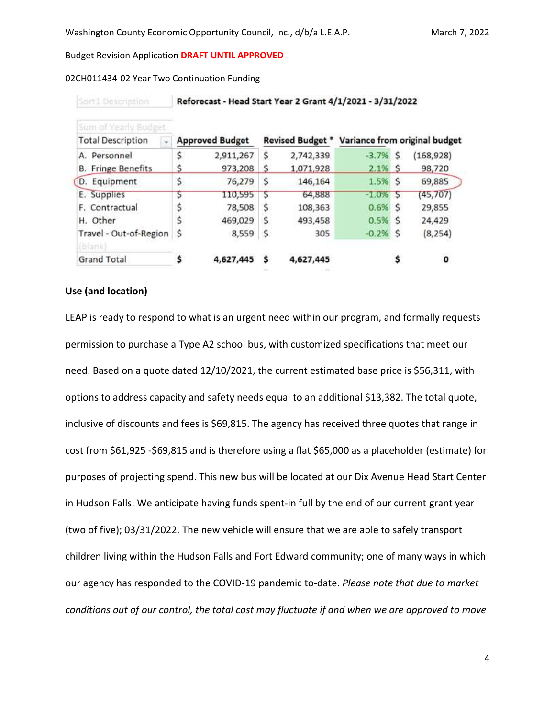### 02CH011434-02 Year Two Continuation Funding

| Sum of Yearly Budget                    |                        |           |    |           |                                                |   |            |
|-----------------------------------------|------------------------|-----------|----|-----------|------------------------------------------------|---|------------|
| <b>Total Description</b>                | <b>Approved Budget</b> |           |    |           | Revised Budget * Variance from original budget |   |            |
| A. Personnel                            | \$                     | 2,911,267 | \$ | 2,742,339 | $-3.7%$ \$                                     |   | (168, 928) |
| <b>B.</b> Fringe Benefits               | s                      | 973,208   |    | 1,071,928 | $2.1\%$ \$                                     |   | 98,720     |
| D. Equipment                            | \$                     | 76,279    | S  | 146,164   | $1.5%$ \$                                      |   | 69,885     |
| E. Supplies                             | 5                      | 110,595   | S  | 64,888    | $-1.0%$                                        | s | (45, 707)  |
| F. Contractual                          | \$                     | 78,508    | \$ | 108,363   | $0.6%$ \$                                      |   | 29,855     |
| H. Other                                | \$                     | 469,029   | s  | 493,458   | $0.5%$ \$                                      |   | 24,429     |
| Travel - Out-of-Region<br><b>Pilank</b> | \$                     | 8,559     | \$ | 305       | $-0.2%$ \$                                     |   | (8, 254)   |
| <b>Grand Total</b>                      |                        | 4,627,445 | S  | 4,627,445 |                                                |   | o          |

#### Reforecast - Head Start Year 2 Grant 4/1/2021 - 3/31/2022 Sort1 Description

## **Use (and location)**

LEAP is ready to respond to what is an urgent need within our program, and formally requests permission to purchase a Type A2 school bus, with customized specifications that meet our need. Based on a quote dated 12/10/2021, the current estimated base price is \$56,311, with options to address capacity and safety needs equal to an additional \$13,382. The total quote, inclusive of discounts and fees is \$69,815. The agency has received three quotes that range in cost from \$61,925 -\$69,815 and is therefore using a flat \$65,000 as a placeholder (estimate) for purposes of projecting spend. This new bus will be located at our Dix Avenue Head Start Center in Hudson Falls. We anticipate having funds spent-in full by the end of our current grant year (two of five); 03/31/2022. The new vehicle will ensure that we are able to safely transport children living within the Hudson Falls and Fort Edward community; one of many ways in which our agency has responded to the COVID-19 pandemic to-date. *Please note that due to market conditions out of our control, the total cost may fluctuate if and when we are approved to move* 

4